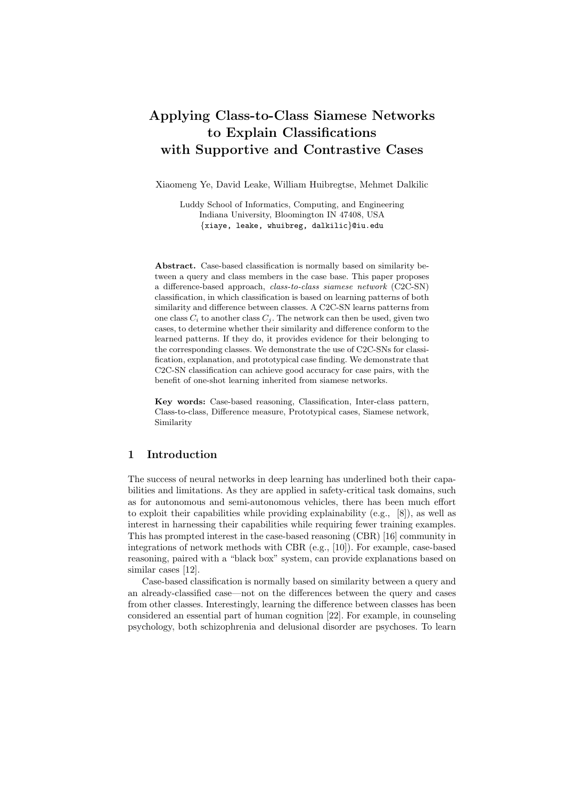# Applying Class-to-Class Siamese Networks to Explain Classifications with Supportive and Contrastive Cases

Xiaomeng Ye, David Leake, William Huibregtse, Mehmet Dalkilic

Luddy School of Informatics, Computing, and Engineering Indiana University, Bloomington IN 47408, USA {xiaye, leake, whuibreg, dalkilic}@iu.edu

Abstract. Case-based classification is normally based on similarity between a query and class members in the case base. This paper proposes a difference-based approach, class-to-class siamese network (C2C-SN) classification, in which classification is based on learning patterns of both similarity and difference between classes. A C2C-SN learns patterns from one class  $C_i$  to another class  $C_j$ . The network can then be used, given two cases, to determine whether their similarity and difference conform to the learned patterns. If they do, it provides evidence for their belonging to the corresponding classes. We demonstrate the use of C2C-SNs for classification, explanation, and prototypical case finding. We demonstrate that C2C-SN classification can achieve good accuracy for case pairs, with the benefit of one-shot learning inherited from siamese networks.

Key words: Case-based reasoning, Classification, Inter-class pattern, Class-to-class, Difference measure, Prototypical cases, Siamese network, Similarity

# 1 Introduction

The success of neural networks in deep learning has underlined both their capabilities and limitations. As they are applied in safety-critical task domains, such as for autonomous and semi-autonomous vehicles, there has been much effort to exploit their capabilities while providing explainability (e.g., [8]), as well as interest in harnessing their capabilities while requiring fewer training examples. This has prompted interest in the case-based reasoning (CBR) [16] community in integrations of network methods with CBR (e.g., [10]). For example, case-based reasoning, paired with a "black box" system, can provide explanations based on similar cases [12].

Case-based classification is normally based on similarity between a query and an already-classified case—not on the differences between the query and cases from other classes. Interestingly, learning the difference between classes has been considered an essential part of human cognition [22]. For example, in counseling psychology, both schizophrenia and delusional disorder are psychoses. To learn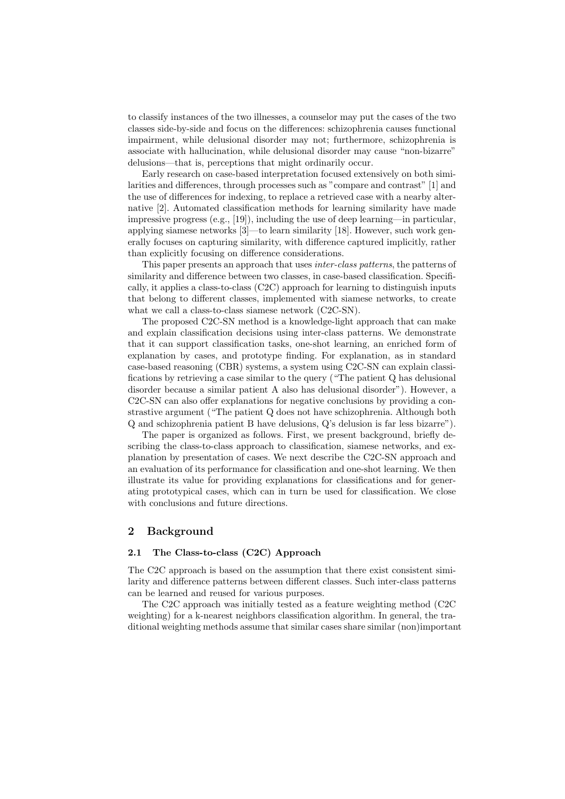to classify instances of the two illnesses, a counselor may put the cases of the two classes side-by-side and focus on the differences: schizophrenia causes functional impairment, while delusional disorder may not; furthermore, schizophrenia is associate with hallucination, while delusional disorder may cause "non-bizarre" delusions—that is, perceptions that might ordinarily occur.

Early research on case-based interpretation focused extensively on both similarities and differences, through processes such as "compare and contrast" [1] and the use of differences for indexing, to replace a retrieved case with a nearby alternative [2]. Automated classification methods for learning similarity have made impressive progress (e.g., [19]), including the use of deep learning—in particular, applying siamese networks [3]—to learn similarity [18]. However, such work generally focuses on capturing similarity, with difference captured implicitly, rather than explicitly focusing on difference considerations.

This paper presents an approach that uses inter-class patterns, the patterns of similarity and difference between two classes, in case-based classification. Specifically, it applies a class-to-class (C2C) approach for learning to distinguish inputs that belong to different classes, implemented with siamese networks, to create what we call a class-to-class siamese network (C2C-SN).

The proposed C2C-SN method is a knowledge-light approach that can make and explain classification decisions using inter-class patterns. We demonstrate that it can support classification tasks, one-shot learning, an enriched form of explanation by cases, and prototype finding. For explanation, as in standard case-based reasoning (CBR) systems, a system using C2C-SN can explain classifications by retrieving a case similar to the query ("The patient Q has delusional disorder because a similar patient A also has delusional disorder"). However, a C2C-SN can also offer explanations for negative conclusions by providing a constrastive argument ("The patient Q does not have schizophrenia. Although both Q and schizophrenia patient B have delusions, Q's delusion is far less bizarre").

The paper is organized as follows. First, we present background, briefly describing the class-to-class approach to classification, siamese networks, and explanation by presentation of cases. We next describe the C2C-SN approach and an evaluation of its performance for classification and one-shot learning. We then illustrate its value for providing explanations for classifications and for generating prototypical cases, which can in turn be used for classification. We close with conclusions and future directions.

## 2 Background

## 2.1 The Class-to-class (C2C) Approach

The C2C approach is based on the assumption that there exist consistent similarity and difference patterns between different classes. Such inter-class patterns can be learned and reused for various purposes.

The C2C approach was initially tested as a feature weighting method (C2C weighting) for a k-nearest neighbors classification algorithm. In general, the traditional weighting methods assume that similar cases share similar (non)important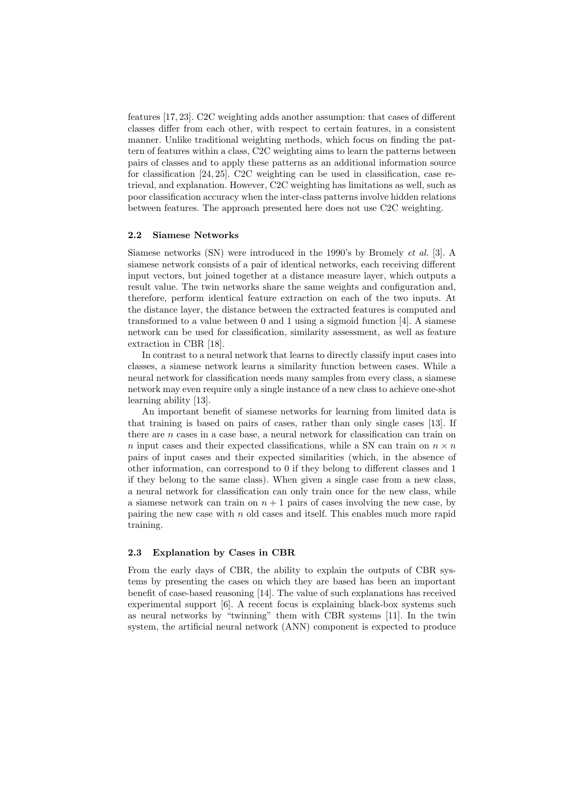features [17, 23]. C2C weighting adds another assumption: that cases of different classes differ from each other, with respect to certain features, in a consistent manner. Unlike traditional weighting methods, which focus on finding the pattern of features within a class, C2C weighting aims to learn the patterns between pairs of classes and to apply these patterns as an additional information source for classification [24, 25]. C2C weighting can be used in classification, case retrieval, and explanation. However, C2C weighting has limitations as well, such as poor classification accuracy when the inter-class patterns involve hidden relations between features. The approach presented here does not use C2C weighting.

## 2.2 Siamese Networks

Siamese networks (SN) were introduced in the 1990's by Bromely et al. [3]. A siamese network consists of a pair of identical networks, each receiving different input vectors, but joined together at a distance measure layer, which outputs a result value. The twin networks share the same weights and configuration and, therefore, perform identical feature extraction on each of the two inputs. At the distance layer, the distance between the extracted features is computed and transformed to a value between 0 and 1 using a sigmoid function [4]. A siamese network can be used for classification, similarity assessment, as well as feature extraction in CBR [18].

In contrast to a neural network that learns to directly classify input cases into classes, a siamese network learns a similarity function between cases. While a neural network for classification needs many samples from every class, a siamese network may even require only a single instance of a new class to achieve one-shot learning ability [13].

An important benefit of siamese networks for learning from limited data is that training is based on pairs of cases, rather than only single cases [13]. If there are  $n$  cases in a case base, a neural network for classification can train on n input cases and their expected classifications, while a SN can train on  $n \times n$ pairs of input cases and their expected similarities (which, in the absence of other information, can correspond to 0 if they belong to different classes and 1 if they belong to the same class). When given a single case from a new class, a neural network for classification can only train once for the new class, while a siamese network can train on  $n + 1$  pairs of cases involving the new case, by pairing the new case with  $n$  old cases and itself. This enables much more rapid training.

## 2.3 Explanation by Cases in CBR

From the early days of CBR, the ability to explain the outputs of CBR systems by presenting the cases on which they are based has been an important benefit of case-based reasoning [14]. The value of such explanations has received experimental support [6]. A recent focus is explaining black-box systems such as neural networks by "twinning" them with CBR systems [11]. In the twin system, the artificial neural network (ANN) component is expected to produce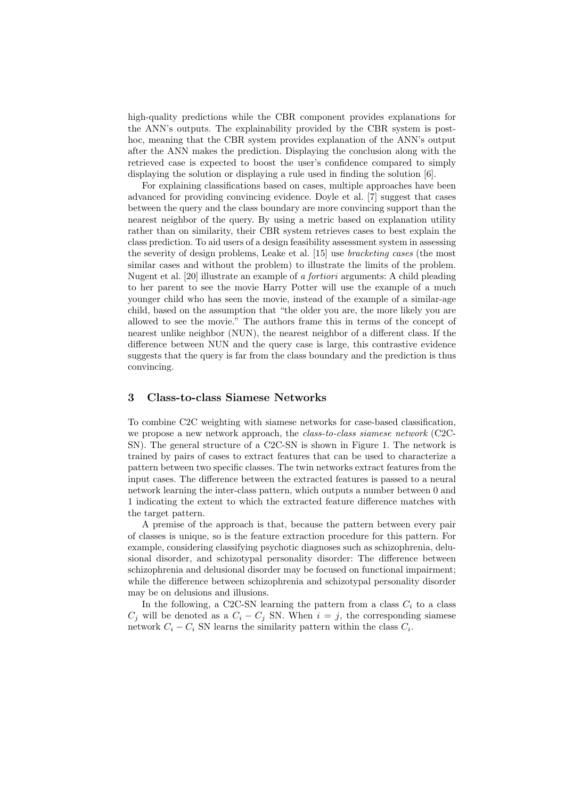high-quality predictions while the CBR component provides explanations for the ANN's outputs. The explainability provided by the CBR system is posthoc, meaning that the CBR system provides explanation of the ANN's output after the ANN makes the prediction. Displaying the conclusion along with the retrieved case is expected to boost the user's confidence compared to simply displaying the solution or displaying a rule used in finding the solution [6].

For explaining classifications based on cases, multiple approaches have been advanced for providing convincing evidence. Doyle et al. [7] suggest that cases between the query and the class boundary are more convincing support than the nearest neighbor of the query. By using a metric based on explanation utility rather than on similarity, their CBR system retrieves cases to best explain the class prediction. To aid users of a design feasibility assessment system in assessing the severity of design problems, Leake et al. [15] use bracketing cases (the most similar cases and without the problem) to illustrate the limits of the problem. Nugent et al. [20] illustrate an example of a fortiori arguments: A child pleading to her parent to see the movie Harry Potter will use the example of a much younger child who has seen the movie, instead of the example of a similar-age child, based on the assumption that "the older you are, the more likely you are allowed to see the movie." The authors frame this in terms of the concept of nearest unlike neighbor (NUN), the nearest neighbor of a different class. If the difference between NUN and the query case is large, this contrastive evidence suggests that the query is far from the class boundary and the prediction is thus convincing.

# 3 Class-to-class Siamese Networks

To combine C2C weighting with siamese networks for case-based classification, we propose a new network approach, the *class-to-class siamese network* (C2C-SN). The general structure of a C2C-SN is shown in Figure 1. The network is trained by pairs of cases to extract features that can be used to characterize a pattern between two specific classes. The twin networks extract features from the input cases. The difference between the extracted features is passed to a neural network learning the inter-class pattern, which outputs a number between 0 and 1 indicating the extent to which the extracted feature difference matches with the target pattern.

A premise of the approach is that, because the pattern between every pair of classes is unique, so is the feature extraction procedure for this pattern. For example, considering classifying psychotic diagnoses such as schizophrenia, delusional disorder, and schizotypal personality disorder: The difference between schizophrenia and delusional disorder may be focused on functional impairment; while the difference between schizophrenia and schizotypal personality disorder may be on delusions and illusions.

In the following, a C2C-SN learning the pattern from a class  $C_i$  to a class  $C_j$  will be denoted as a  $C_i - C_j$  SN. When  $i = j$ , the corresponding siamese network  $C_i - C_i$  SN learns the similarity pattern within the class  $C_i$ .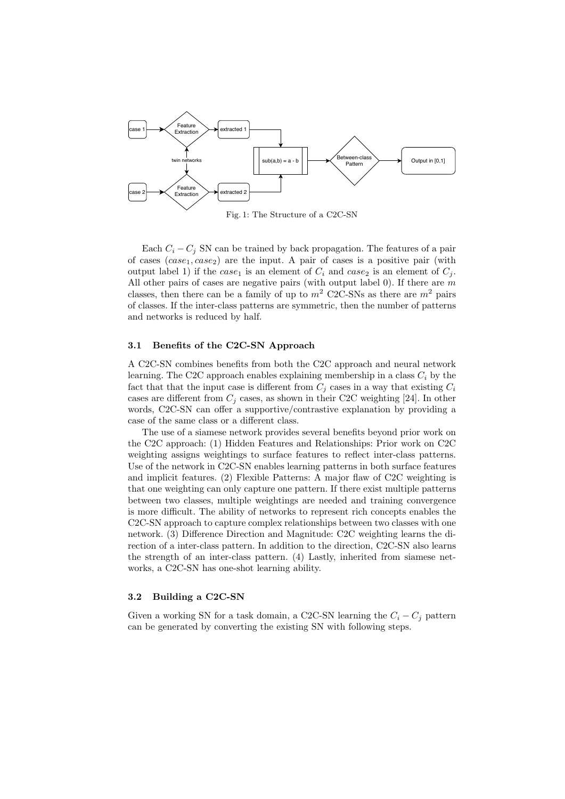

Fig. 1: The Structure of a C2C-SN

Each  $C_i - C_j$  SN can be trained by back propagation. The features of a pair of cases  $(case_1, case_2)$  are the input. A pair of cases is a positive pair (with output label 1) if the case<sub>1</sub> is an element of  $C_i$  and case<sub>2</sub> is an element of  $C_j$ . All other pairs of cases are negative pairs (with output label  $0$ ). If there are  $m$ classes, then there can be a family of up to  $m^2$  C2C-SNs as there are  $m^2$  pairs of classes. If the inter-class patterns are symmetric, then the number of patterns and networks is reduced by half.

## 3.1 Benefits of the C2C-SN Approach

A C2C-SN combines benefits from both the C2C approach and neural network learning. The C2C approach enables explaining membership in a class  $C_i$  by the fact that that the input case is different from  $C_j$  cases in a way that existing  $C_i$ cases are different from  $C_i$  cases, as shown in their C2C weighting [24]. In other words, C2C-SN can offer a supportive/contrastive explanation by providing a case of the same class or a different class.

The use of a siamese network provides several benefits beyond prior work on the C2C approach: (1) Hidden Features and Relationships: Prior work on C2C weighting assigns weightings to surface features to reflect inter-class patterns. Use of the network in C2C-SN enables learning patterns in both surface features and implicit features. (2) Flexible Patterns: A major flaw of C2C weighting is that one weighting can only capture one pattern. If there exist multiple patterns between two classes, multiple weightings are needed and training convergence is more difficult. The ability of networks to represent rich concepts enables the C2C-SN approach to capture complex relationships between two classes with one network. (3) Difference Direction and Magnitude: C2C weighting learns the direction of a inter-class pattern. In addition to the direction, C2C-SN also learns the strength of an inter-class pattern. (4) Lastly, inherited from siamese networks, a C2C-SN has one-shot learning ability.

# 3.2 Building a C2C-SN

Given a working SN for a task domain, a C2C-SN learning the  $C_i - C_j$  pattern can be generated by converting the existing SN with following steps.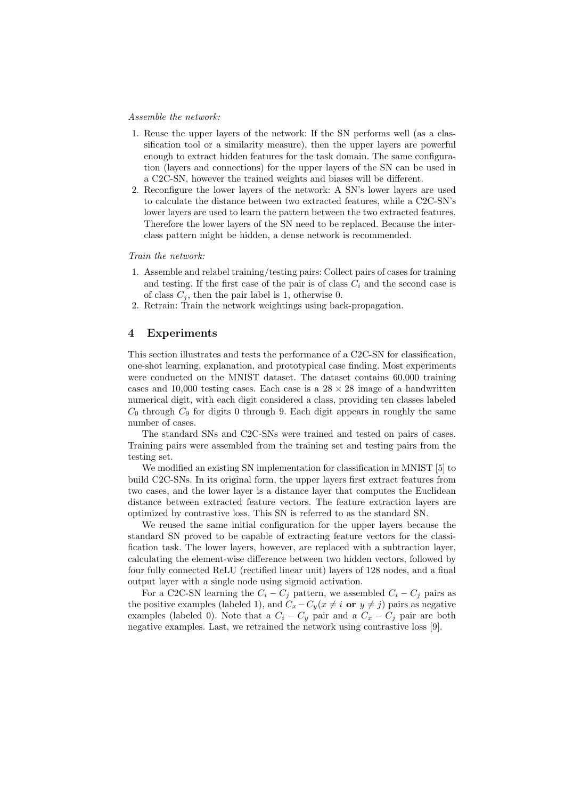## Assemble the network:

- 1. Reuse the upper layers of the network: If the SN performs well (as a classification tool or a similarity measure), then the upper layers are powerful enough to extract hidden features for the task domain. The same configuration (layers and connections) for the upper layers of the SN can be used in a C2C-SN, however the trained weights and biases will be different.
- 2. Reconfigure the lower layers of the network: A SN's lower layers are used to calculate the distance between two extracted features, while a C2C-SN's lower layers are used to learn the pattern between the two extracted features. Therefore the lower layers of the SN need to be replaced. Because the interclass pattern might be hidden, a dense network is recommended.

## Train the network:

- 1. Assemble and relabel training/testing pairs: Collect pairs of cases for training and testing. If the first case of the pair is of class  $C_i$  and the second case is of class  $C_i$ , then the pair label is 1, otherwise 0.
- 2. Retrain: Train the network weightings using back-propagation.

## 4 Experiments

This section illustrates and tests the performance of a C2C-SN for classification, one-shot learning, explanation, and prototypical case finding. Most experiments were conducted on the MNIST dataset. The dataset contains 60,000 training cases and 10,000 testing cases. Each case is a  $28 \times 28$  image of a handwritten numerical digit, with each digit considered a class, providing ten classes labeled  $C_0$  through  $C_9$  for digits 0 through 9. Each digit appears in roughly the same number of cases.

The standard SNs and C2C-SNs were trained and tested on pairs of cases. Training pairs were assembled from the training set and testing pairs from the testing set.

We modified an existing SN implementation for classification in MNIST [5] to build C2C-SNs. In its original form, the upper layers first extract features from two cases, and the lower layer is a distance layer that computes the Euclidean distance between extracted feature vectors. The feature extraction layers are optimized by contrastive loss. This SN is referred to as the standard SN.

We reused the same initial configuration for the upper layers because the standard SN proved to be capable of extracting feature vectors for the classification task. The lower layers, however, are replaced with a subtraction layer, calculating the element-wise difference between two hidden vectors, followed by four fully connected ReLU (rectified linear unit) layers of 128 nodes, and a final output layer with a single node using sigmoid activation.

For a C2C-SN learning the  $C_i - C_j$  pattern, we assembled  $C_i - C_j$  pairs as the positive examples (labeled 1), and  $C_x - C_y(x \neq i \text{ or } y \neq j)$  pairs as negative examples (labeled 0). Note that a  $C_i - C_y$  pair and a  $C_x - C_j$  pair are both negative examples. Last, we retrained the network using contrastive loss [9].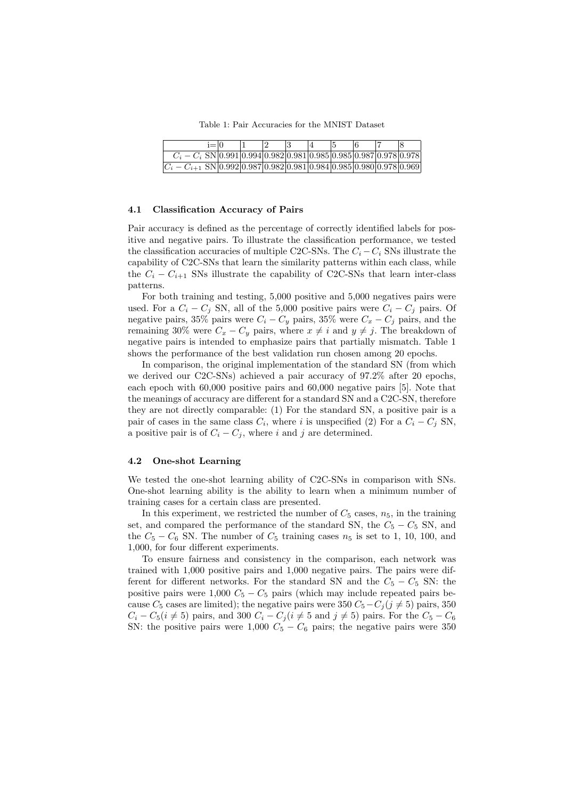Table 1: Pair Accuracies for the MNIST Dataset

|                                                                               | $i=10$ |  |  |  |  |  |
|-------------------------------------------------------------------------------|--------|--|--|--|--|--|
| $C_i - C_i$ SN $ 0.991 0.994 0.982 0.981 0.985 0.985 0.987 0.978 0.978 $      |        |  |  |  |  |  |
| $ C_i - C_{i+1}$ SN $ 0.992 0.987 0.982 0.981 0.984 0.985 0.980 0.978 0.969 $ |        |  |  |  |  |  |

#### 4.1 Classification Accuracy of Pairs

Pair accuracy is defined as the percentage of correctly identified labels for positive and negative pairs. To illustrate the classification performance, we tested the classification accuracies of multiple C2C-SNs. The  $C_i - C_i$  SNs illustrate the capability of C2C-SNs that learn the similarity patterns within each class, while the  $C_i - C_{i+1}$  SNs illustrate the capability of C2C-SNs that learn inter-class patterns.

For both training and testing, 5,000 positive and 5,000 negatives pairs were used. For a  $C_i - C_j$  SN, all of the 5,000 positive pairs were  $C_i - C_j$  pairs. Of negative pairs, 35% pairs were  $C_i - C_y$  pairs, 35% were  $C_x - C_j$  pairs, and the remaining 30% were  $C_x - C_y$  pairs, where  $x \neq i$  and  $y \neq j$ . The breakdown of negative pairs is intended to emphasize pairs that partially mismatch. Table 1 shows the performance of the best validation run chosen among 20 epochs.

In comparison, the original implementation of the standard SN (from which we derived our C2C-SNs) achieved a pair accuracy of 97.2% after 20 epochs, each epoch with 60,000 positive pairs and 60,000 negative pairs [5]. Note that the meanings of accuracy are different for a standard SN and a C2C-SN, therefore they are not directly comparable: (1) For the standard SN, a positive pair is a pair of cases in the same class  $C_i$ , where i is unspecified (2) For a  $C_i - C_j$  SN, a positive pair is of  $C_i - C_j$ , where i and j are determined.

# 4.2 One-shot Learning

We tested the one-shot learning ability of C2C-SNs in comparison with SNs. One-shot learning ability is the ability to learn when a minimum number of training cases for a certain class are presented.

In this experiment, we restricted the number of  $C_5$  cases,  $n_5$ , in the training set, and compared the performance of the standard SN, the  $C_5 - C_5$  SN, and the  $C_5 - C_6$  SN. The number of  $C_5$  training cases  $n_5$  is set to 1, 10, 100, and 1,000, for four different experiments.

To ensure fairness and consistency in the comparison, each network was trained with 1,000 positive pairs and 1,000 negative pairs. The pairs were different for different networks. For the standard SN and the  $C_5 - C_5$  SN: the positive pairs were 1,000  $C_5 - C_5$  pairs (which may include repeated pairs because  $C_5$  cases are limited); the negative pairs were 350  $C_5 - C_j (j \neq 5)$  pairs, 350  $C_i - C_5(i \neq 5)$  pairs, and 300  $C_i - C_j(i \neq 5$  and  $j \neq 5)$  pairs. For the  $C_5 - C_6$ SN: the positive pairs were  $1,000 \, C_5 - C_6$  pairs; the negative pairs were 350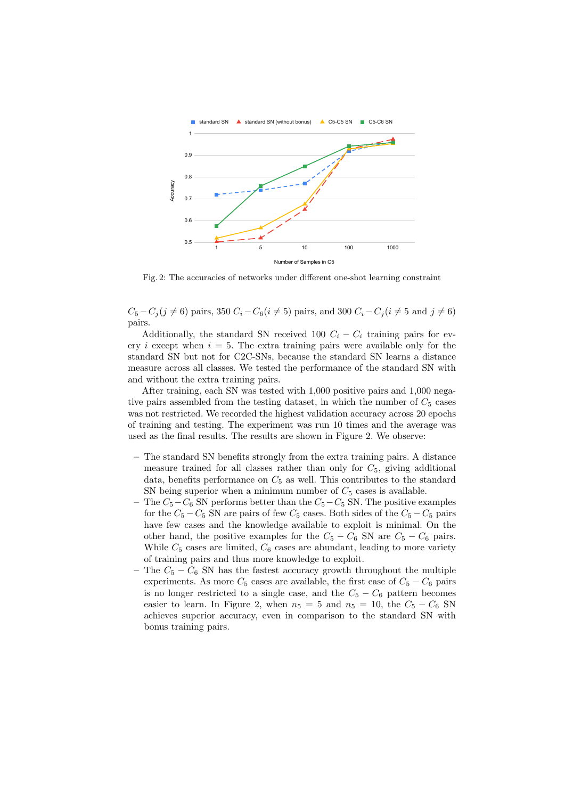

Fig. 2: The accuracies of networks under different one-shot learning constraint

 $C_5 - C_i (j \neq 6)$  pairs, 350  $C_i - C_6 (i \neq 5)$  pairs, and 300  $C_i - C_j (i \neq 5)$  and  $j \neq 6$ ) pairs.

Additionally, the standard SN received 100  $C_i - C_i$  training pairs for every i except when  $i = 5$ . The extra training pairs were available only for the standard SN but not for C2C-SNs, because the standard SN learns a distance measure across all classes. We tested the performance of the standard SN with and without the extra training pairs.

After training, each SN was tested with 1,000 positive pairs and 1,000 negative pairs assembled from the testing dataset, in which the number of  $C_5$  cases was not restricted. We recorded the highest validation accuracy across 20 epochs of training and testing. The experiment was run 10 times and the average was used as the final results. The results are shown in Figure 2. We observe:

- The standard SN benefits strongly from the extra training pairs. A distance measure trained for all classes rather than only for  $C_5$ , giving additional data, benefits performance on  $C_5$  as well. This contributes to the standard SN being superior when a minimum number of  $C_5$  cases is available.
- The  $C_5-C_6$  SN performs better than the  $C_5-C_5$  SN. The positive examples for the  $C_5 - C_5$  SN are pairs of few  $C_5$  cases. Both sides of the  $C_5 - C_5$  pairs have few cases and the knowledge available to exploit is minimal. On the other hand, the positive examples for the  $C_5 - C_6$  SN are  $C_5 - C_6$  pairs. While  $C_5$  cases are limited,  $C_6$  cases are abundant, leading to more variety of training pairs and thus more knowledge to exploit.
- The  $C_5 C_6$  SN has the fastest accuracy growth throughout the multiple experiments. As more  $C_5$  cases are available, the first case of  $C_5 - C_6$  pairs is no longer restricted to a single case, and the  $C_5 - C_6$  pattern becomes easier to learn. In Figure 2, when  $n_5 = 5$  and  $n_5 = 10$ , the  $C_5 - C_6$  SN achieves superior accuracy, even in comparison to the standard SN with bonus training pairs.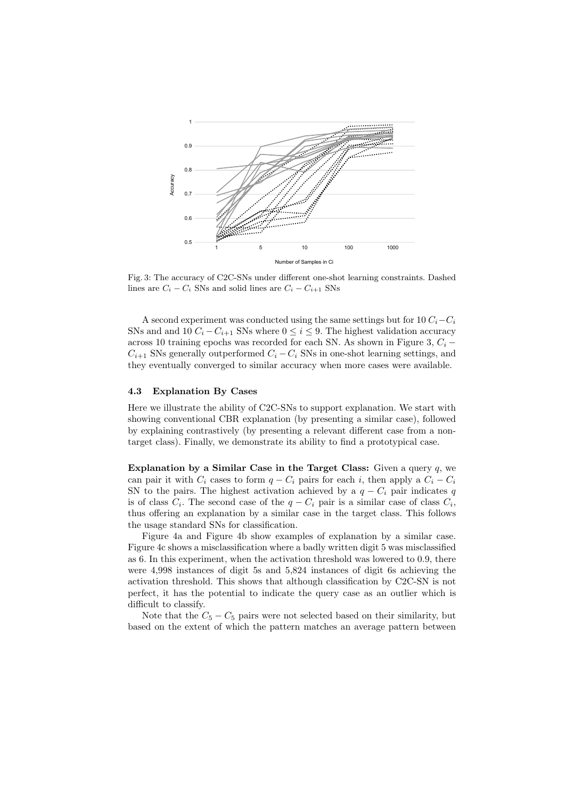

Fig. 3: The accuracy of C2C-SNs under different one-shot learning constraints. Dashed lines are  $C_i - C_i$  SNs and solid lines are  $C_i - C_{i+1}$  SNs

A second experiment was conducted using the same settings but for 10  $C_i-C_i$ SNs and and 10  $C_i - C_{i+1}$  SNs where  $0 \leq i \leq 9$ . The highest validation accuracy across 10 training epochs was recorded for each SN. As shown in Figure 3,  $C_i$  –  $C_{i+1}$  SNs generally outperformed  $C_i - C_i$  SNs in one-shot learning settings, and they eventually converged to similar accuracy when more cases were available.

## 4.3 Explanation By Cases

Here we illustrate the ability of C2C-SNs to support explanation. We start with showing conventional CBR explanation (by presenting a similar case), followed by explaining contrastively (by presenting a relevant different case from a nontarget class). Finally, we demonstrate its ability to find a prototypical case.

Explanation by a Similar Case in the Target Class: Given a query  $q$ , we can pair it with  $C_i$  cases to form  $q - C_i$  pairs for each i, then apply a  $C_i - C_i$ SN to the pairs. The highest activation achieved by a  $q - C_i$  pair indicates q is of class  $C_i$ . The second case of the  $q - C_i$  pair is a similar case of class  $C_i$ , thus offering an explanation by a similar case in the target class. This follows the usage standard SNs for classification.

Figure 4a and Figure 4b show examples of explanation by a similar case. Figure 4c shows a misclassification where a badly written digit 5 was misclassified as 6. In this experiment, when the activation threshold was lowered to 0.9, there were 4,998 instances of digit 5s and 5,824 instances of digit 6s achieving the activation threshold. This shows that although classification by C2C-SN is not perfect, it has the potential to indicate the query case as an outlier which is difficult to classify.

Note that the  $C_5 - C_5$  pairs were not selected based on their similarity, but based on the extent of which the pattern matches an average pattern between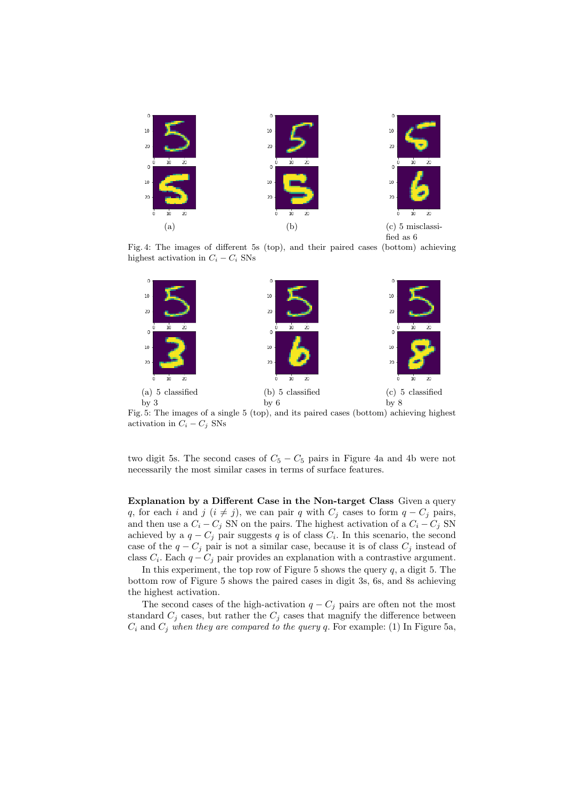

Fig. 4: The images of different 5s (top), and their paired cases (bottom) achieving highest activation in  $C_i - C_i$  SNs



Fig. 5: The images of a single 5 (top), and its paired cases (bottom) achieving highest activation in  $C_i - C_j$  SNs

two digit 5s. The second cases of  $C_5 - C_5$  pairs in Figure 4a and 4b were not necessarily the most similar cases in terms of surface features.

Explanation by a Different Case in the Non-target Class Given a query q, for each i and j  $(i \neq j)$ , we can pair q with  $C_j$  cases to form  $q - C_j$  pairs, and then use a  $C_i - C_j$  SN on the pairs. The highest activation of a  $C_i - C_j$  SN achieved by a  $q - C_j$  pair suggests q is of class  $C_i$ . In this scenario, the second case of the  $q - C_j$  pair is not a similar case, because it is of class  $C_j$  instead of class  $C_i$ . Each  $q - C_j$  pair provides an explanation with a contrastive argument.

In this experiment, the top row of Figure 5 shows the query  $q$ , a digit 5. The bottom row of Figure 5 shows the paired cases in digit 3s, 6s, and 8s achieving the highest activation.

The second cases of the high-activation  $q - C_j$  pairs are often not the most standard  $C_j$  cases, but rather the  $C_j$  cases that magnify the difference between  $C_i$  and  $C_j$  when they are compared to the query q. For example: (1) In Figure 5a,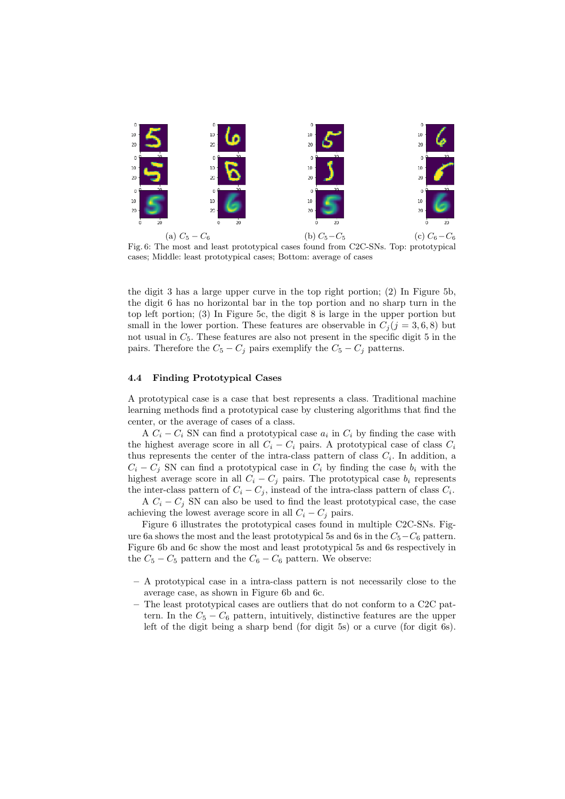

Fig. 6: The most and least prototypical cases found from C2C-SNs. Top: prototypical cases; Middle: least prototypical cases; Bottom: average of cases

the digit 3 has a large upper curve in the top right portion; (2) In Figure 5b, the digit 6 has no horizontal bar in the top portion and no sharp turn in the top left portion; (3) In Figure 5c, the digit 8 is large in the upper portion but small in the lower portion. These features are observable in  $C_j$  ( $j = 3, 6, 8$ ) but not usual in  $C_5$ . These features are also not present in the specific digit 5 in the pairs. Therefore the  $C_5 - C_j$  pairs exemplify the  $C_5 - C_j$  patterns.

# 4.4 Finding Prototypical Cases

A prototypical case is a case that best represents a class. Traditional machine learning methods find a prototypical case by clustering algorithms that find the center, or the average of cases of a class.

A  $C_i - C_i$  SN can find a prototypical case  $a_i$  in  $C_i$  by finding the case with the highest average score in all  $C_i - C_i$  pairs. A prototypical case of class  $C_i$ thus represents the center of the intra-class pattern of class  $C_i$ . In addition, a  $C_i - C_j$  SN can find a prototypical case in  $C_i$  by finding the case  $b_i$  with the highest average score in all  $C_i - C_j$  pairs. The prototypical case  $b_i$  represents the inter-class pattern of  $C_i - C_j$ , instead of the intra-class pattern of class  $C_i$ .

A  $C_i - C_j$  SN can also be used to find the least prototypical case, the case achieving the lowest average score in all  $C_i - C_j$  pairs.

Figure 6 illustrates the prototypical cases found in multiple C2C-SNs. Figure 6a shows the most and the least prototypical 5s and 6s in the  $C_5-C_6$  pattern. Figure 6b and 6c show the most and least prototypical 5s and 6s respectively in the  $C_5 - C_5$  pattern and the  $C_6 - C_6$  pattern. We observe:

- A prototypical case in a intra-class pattern is not necessarily close to the average case, as shown in Figure 6b and 6c.
- The least prototypical cases are outliers that do not conform to a C2C pattern. In the  $C_5 - C_6$  pattern, intuitively, distinctive features are the upper left of the digit being a sharp bend (for digit 5s) or a curve (for digit 6s).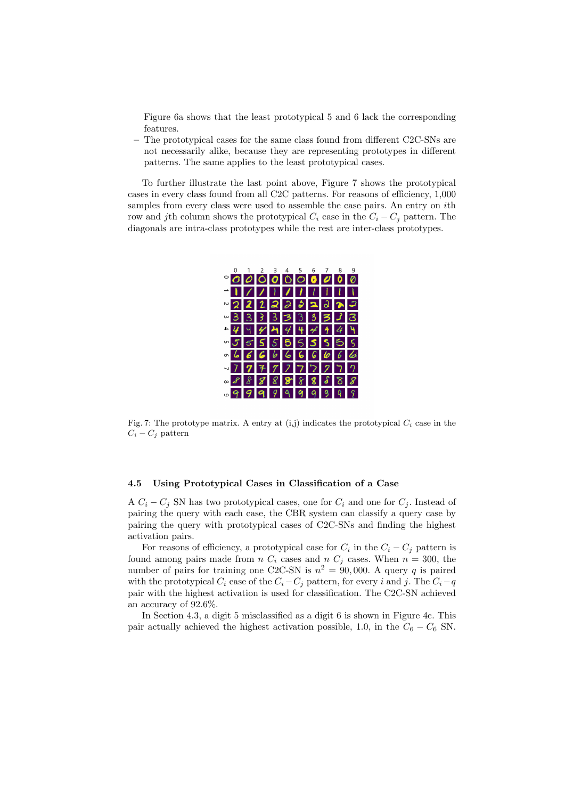Figure 6a shows that the least prototypical 5 and 6 lack the corresponding features.

– The prototypical cases for the same class found from different C2C-SNs are not necessarily alike, because they are representing prototypes in different patterns. The same applies to the least prototypical cases.

To further illustrate the last point above, Figure 7 shows the prototypical cases in every class found from all C2C patterns. For reasons of efficiency, 1,000 samples from every class were used to assemble the case pairs. An entry on *i*th row and jth column shows the prototypical  $C_i$  case in the  $C_i - C_j$  pattern. The diagonals are intra-class prototypes while the rest are inter-class prototypes.



Fig. 7: The prototype matrix. A entry at (i,j) indicates the prototypical  $C_i$  case in the  $C_i - C_j$  pattern

## 4.5 Using Prototypical Cases in Classification of a Case

A  $C_i - C_j$  SN has two prototypical cases, one for  $C_i$  and one for  $C_j$ . Instead of pairing the query with each case, the CBR system can classify a query case by pairing the query with prototypical cases of C2C-SNs and finding the highest activation pairs.

For reasons of efficiency, a prototypical case for  $C_i$  in the  $C_i - C_j$  pattern is found among pairs made from  $n C_i$  cases and  $n C_j$  cases. When  $n = 300$ , the number of pairs for training one C2C-SN is  $n^2 = 90,000$ . A query q is paired with the prototypical  $C_i$  case of the  $C_i-C_j$  pattern, for every i and j. The  $C_i-q$ pair with the highest activation is used for classification. The C2C-SN achieved an accuracy of 92.6%.

In Section 4.3, a digit 5 misclassified as a digit 6 is shown in Figure 4c. This pair actually achieved the highest activation possible, 1.0, in the  $C_6 - C_6$  SN.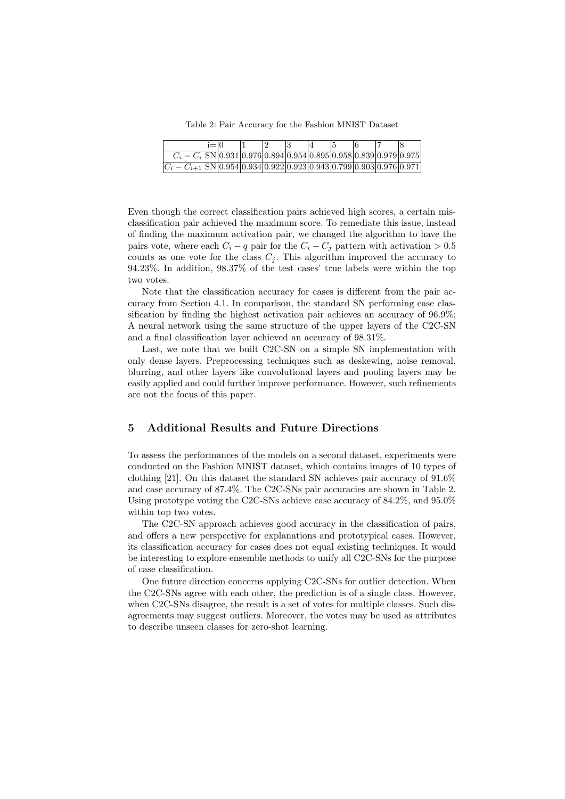Table 2: Pair Accuracy for the Fashion MNIST Dataset

| i≡l∩                                                                      |  |  |  |  |  |
|---------------------------------------------------------------------------|--|--|--|--|--|
| $C_i - C_i$ SN $ 0.931 0.976 0.894 0.954 0.895 0.958 0.839 0.979 0.975 $  |  |  |  |  |  |
| $ C_i - C_{i+1}$ SN 0.954 0.934 0.922 0.923 0.943 0.799 0.903 0.976 0.971 |  |  |  |  |  |

Even though the correct classification pairs achieved high scores, a certain misclassification pair achieved the maximum score. To remediate this issue, instead of finding the maximum activation pair, we changed the algorithm to have the pairs vote, where each  $C_i - q$  pair for the  $C_i - C_j$  pattern with activation > 0.5 counts as one vote for the class  $C_j$ . This algorithm improved the accuracy to 94.23%. In addition, 98.37% of the test cases' true labels were within the top two votes.

Note that the classification accuracy for cases is different from the pair accuracy from Section 4.1. In comparison, the standard SN performing case classification by finding the highest activation pair achieves an accuracy of 96.9%; A neural network using the same structure of the upper layers of the C2C-SN and a final classification layer achieved an accuracy of 98.31%.

Last, we note that we built C2C-SN on a simple SN implementation with only dense layers. Preprocessing techniques such as deskewing, noise removal, blurring, and other layers like convolutional layers and pooling layers may be easily applied and could further improve performance. However, such refinements are not the focus of this paper.

## 5 Additional Results and Future Directions

To assess the performances of the models on a second dataset, experiments were conducted on the Fashion MNIST dataset, which contains images of 10 types of clothing [21]. On this dataset the standard SN achieves pair accuracy of 91.6% and case accuracy of 87.4%. The C2C-SNs pair accuracies are shown in Table 2. Using prototype voting the C2C-SNs achieve case accuracy of 84.2%, and 95.0% within top two votes.

The C2C-SN approach achieves good accuracy in the classification of pairs, and offers a new perspective for explanations and prototypical cases. However, its classification accuracy for cases does not equal existing techniques. It would be interesting to explore ensemble methods to unify all C2C-SNs for the purpose of case classification.

One future direction concerns applying C2C-SNs for outlier detection. When the C2C-SNs agree with each other, the prediction is of a single class. However, when C2C-SNs disagree, the result is a set of votes for multiple classes. Such disagreements may suggest outliers. Moreover, the votes may be used as attributes to describe unseen classes for zero-shot learning.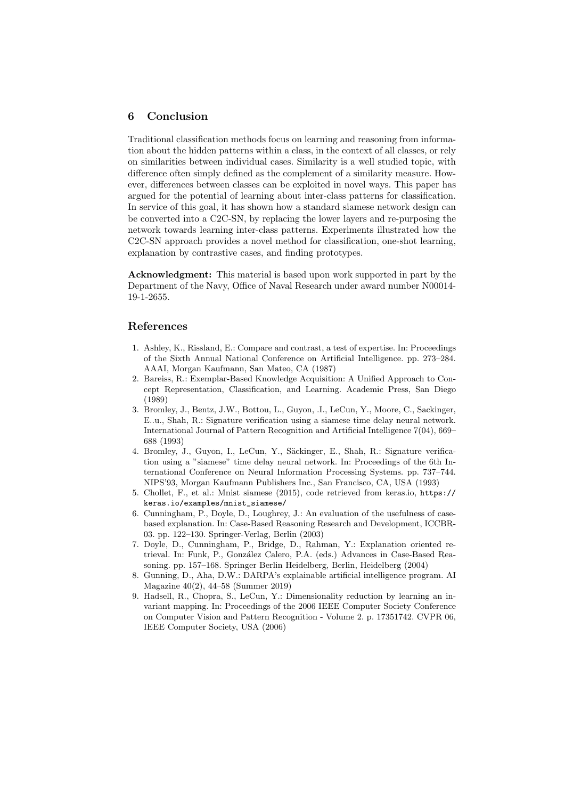# 6 Conclusion

Traditional classification methods focus on learning and reasoning from information about the hidden patterns within a class, in the context of all classes, or rely on similarities between individual cases. Similarity is a well studied topic, with difference often simply defined as the complement of a similarity measure. However, differences between classes can be exploited in novel ways. This paper has argued for the potential of learning about inter-class patterns for classification. In service of this goal, it has shown how a standard siamese network design can be converted into a C2C-SN, by replacing the lower layers and re-purposing the network towards learning inter-class patterns. Experiments illustrated how the C2C-SN approach provides a novel method for classification, one-shot learning, explanation by contrastive cases, and finding prototypes.

Acknowledgment: This material is based upon work supported in part by the Department of the Navy, Office of Naval Research under award number N00014- 19-1-2655.

## References

- 1. Ashley, K., Rissland, E.: Compare and contrast, a test of expertise. In: Proceedings of the Sixth Annual National Conference on Artificial Intelligence. pp. 273–284. AAAI, Morgan Kaufmann, San Mateo, CA (1987)
- 2. Bareiss, R.: Exemplar-Based Knowledge Acquisition: A Unified Approach to Concept Representation, Classification, and Learning. Academic Press, San Diego (1989)
- 3. Bromley, J., Bentz, J.W., Bottou, L., Guyon, .I., LeCun, Y., Moore, C., Sackinger, E..u., Shah, R.: Signature verification using a siamese time delay neural network. International Journal of Pattern Recognition and Artificial Intelligence 7(04), 669– 688 (1993)
- 4. Bromley, J., Guyon, I., LeCun, Y., Säckinger, E., Shah, R.: Signature verification using a "siamese" time delay neural network. In: Proceedings of the 6th International Conference on Neural Information Processing Systems. pp. 737–744. NIPS'93, Morgan Kaufmann Publishers Inc., San Francisco, CA, USA (1993)
- 5. Chollet, F., et al.: Mnist siamese (2015), code retrieved from keras.io, https:// keras.io/examples/mnist\_siamese/
- 6. Cunningham, P., Doyle, D., Loughrey, J.: An evaluation of the usefulness of casebased explanation. In: Case-Based Reasoning Research and Development, ICCBR-03. pp. 122–130. Springer-Verlag, Berlin (2003)
- 7. Doyle, D., Cunningham, P., Bridge, D., Rahman, Y.: Explanation oriented retrieval. In: Funk, P., González Calero, P.A. (eds.) Advances in Case-Based Reasoning. pp. 157–168. Springer Berlin Heidelberg, Berlin, Heidelberg (2004)
- 8. Gunning, D., Aha, D.W.: DARPA's explainable artificial intelligence program. AI Magazine 40(2), 44–58 (Summer 2019)
- 9. Hadsell, R., Chopra, S., LeCun, Y.: Dimensionality reduction by learning an invariant mapping. In: Proceedings of the 2006 IEEE Computer Society Conference on Computer Vision and Pattern Recognition - Volume 2. p. 17351742. CVPR 06, IEEE Computer Society, USA (2006)